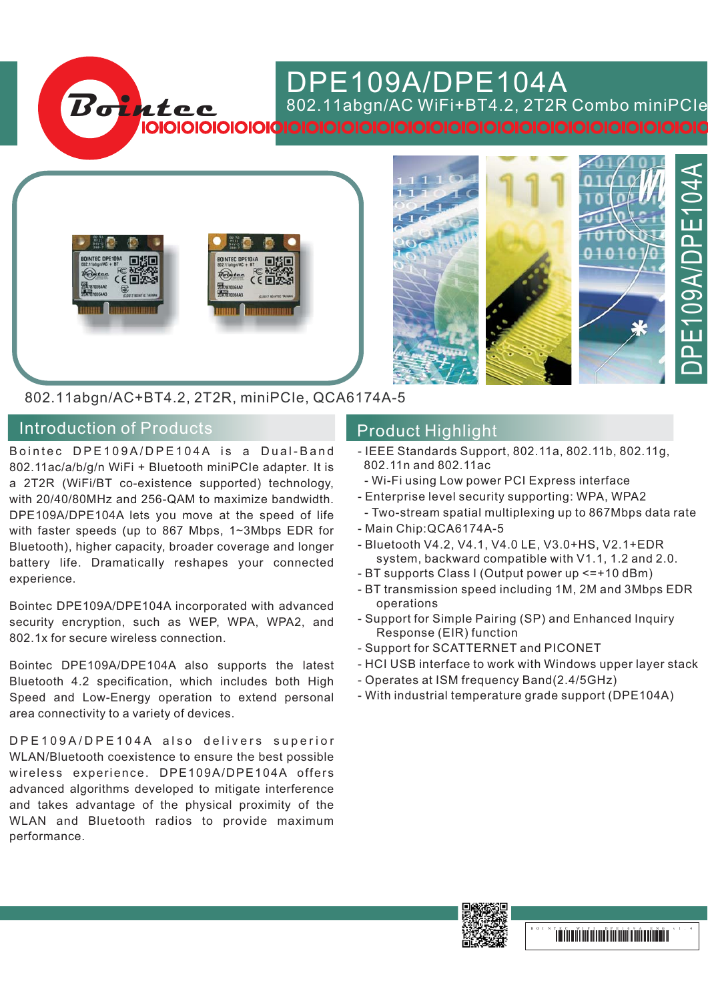## DPE109A/DPE104A

802.11abgn/ WiFi BT4.2 Combo miniPCIe AC + , 2T2R

802.11abgn/AC+BT4.2, 2T2R, miniPCIe, QCA6174A-5

**Bointec**

## Introduction of Products **Introduction of Products** Product Highlight

Bointec DPE109A/DPE104A is a Dual-Band 802.11ac/a/b/g/n WiFi + Bluetooth miniPCIe adapter. It is a 2T2R (WiFi/BT co-existence supported) technology, with 20/40/80MHz and 256-QAM to maximize bandwidth. DPE109A/DPE104A lets you move at the speed of life with faster speeds (up to 867 Mbps, 1~3Mbps EDR for Bluetooth), higher capacity, broader coverage and longer battery life. Dramatically reshapes your connected experience.

Bointec DPE109A/DPE104A incorporated with advanced security encryption, such as WEP, WPA, WPA2, and 802.1x for secure wireless connection.

Bointec DPE109A/DPE104A also supports the latest Bluetooth 4.2 specification, which includes both High Speed and Low-Energy operation to extend personal area connectivity to a variety of devices.

DPE109A/DPE104A also delivers superior WLAN/Bluetooth coexistence to ensure the best possible wireless experience. DPE109A/DPE104A offers advanced algorithms developed to mitigate interference and takes advantage of the physical proximity of the WLAN and Bluetooth radios to provide maximum performance.

- IEEE Standards Support, 802.11a, 802.11b, 802.11g, 802.11n and 802.11ac
- Wi-Fi using Low power PCI Express interface
- Enterprise level security supporting: WPA, WPA2 -
- Two-stream spatial multiplexing up to 867Mbps data rate

DPE109A/DPE104A

E109A/DP

**PL** 

04A

 $\overline{\overline{L}}$ 

- Main Chip: QCA6174A-5
- Bluetooth V4.2, V4.1, V4.0 LE, V3.0+HS, V2.1+EDR system, backward compatible with V1.1, 1.2 and 2.0.
- BT supports Class I (Output power up <=+10 dBm)
- BT transmission speed including 1M, 2M and 3Mbps EDR operations
- Support for Simple Pairing (SP) and Enhanced Inquiry Response (EIR) function
- Support for SCATTERNET and PICONET
- HCI USB interface to work with Windows upper layer stack
- Operates at ISM frequency Band(2.4/5GHz) -
- With industrial temperature grade support (DPE104A) -